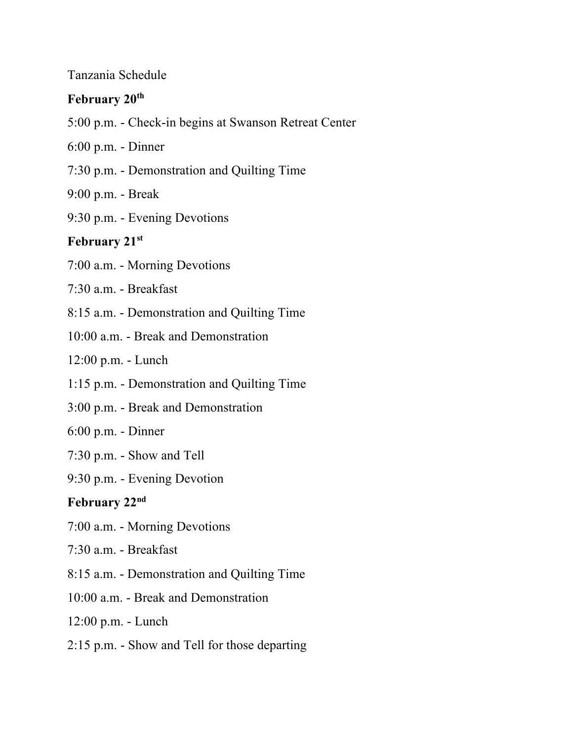#### Tanzania Schedule

## **February 20th**

- 5:00 p.m. Check-in begins at Swanson Retreat Center
- 6:00 p.m. Dinner
- 7:30 p.m. Demonstration and Quilting Time
- 9:00 p.m. Break
- 9:30 p.m. Evening Devotions

## **February 21st**

- 7:00 a.m. Morning Devotions
- 7:30 a.m. Breakfast
- 8:15 a.m. Demonstration and Quilting Time
- 10:00 a.m. Break and Demonstration
- 12:00 p.m. Lunch
- 1:15 p.m. Demonstration and Quilting Time
- 3:00 p.m. Break and Demonstration
- 6:00 p.m. Dinner
- 7:30 p.m. Show and Tell
- 9:30 p.m. Evening Devotion

#### **February 22nd**

- 7:00 a.m. Morning Devotions
- 7:30 a.m. Breakfast
- 8:15 a.m. Demonstration and Quilting Time
- 10:00 a.m. Break and Demonstration
- 12:00 p.m. Lunch
- 2:15 p.m. Show and Tell for those departing